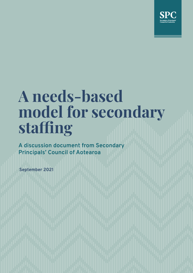

# **A needs-based model for secondary staffing**

**A discussion document from Secondary Principals' Council of Aotearoa**

**September 2021**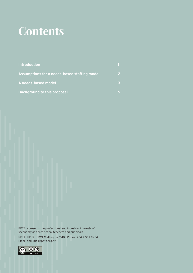## **Contents**

| <b>Introduction</b>                          |   |
|----------------------------------------------|---|
| Assumptions for a needs-based staffing model | 2 |
| A needs-based model                          | 3 |
| <b>Background to this proposal</b>           |   |

PPTA represents the professional and industrial interests of secondary and area school teachers and principals.

PPTA | PO Box 2119, Wellington 6140 | Phone: +64 4 384 9964 Email: enquiries@ppta.org.nz

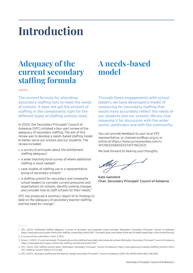## **Introduction**

### **Adequacy of the current secondary staffing formula**

### **A needs-based model**

**The current formula for allocating secondary staffing fails to meet the needs of schools. It does not get the amount of staffing or the components right for the different types of staffing schools need.** 

In 2020, the Secondary Principals' Council of Aotearoa (SPC) initiated a four-part review of the adequacy of secondary staffing. The aim of this review was to develop a needs-based staffing model to better serve our schools and our students. The review included:

- » a survey of principals about the entitlement staffing adequacy<sup>1</sup>
- » a wider teaching force survey of where additional staffing is most needed<sup>2</sup>
- » case studies of staffing use in a representative group of secondary schools<sup>3</sup>
- » a staffing summit for secondary and composite school leaders to consider current pressures and expectations on schools, identify coming changes and consider how to staff schools for their needs.4

SPC has produced a summary report of its findings to date on the adequacy of secondary teacher staffing and the need for change.<sup>5</sup>

**Through these engagements with school leaders, we have developed a model of resourcing for secondary staffing that would more accurately reflect the needs of our students and our schools. We are now releasing it for discussion with the wider sector, politicians and with the community.** 

You can provide feedback to your local SPC representative, or chairperson@spc.org.nz or online at https://www.surveymonkey.com/r/ SPCNEEDSBASEDSTAFFING2021

We look forward to hearing your thoughts.

elbeg f

**Kate Gainsford Chair, Secondary Principals' Council of Aotearoa**

<sup>1.</sup> SPC. (2021). *Entitlement staffing adequacy: a survey of secondary and composite school principals*. Wellington: Secondary Principals' Council of Aotearoa. https://www.ppta.org.nz/past-events/the-staffing-summit/document/1457. The report gives more detail of the lack of needs-based logic in the current formula.

<sup>2.</sup> A survey will be undertaken in term 3 2021.

<sup>3.</sup> Alison, J. (2021). *It's just not enough: Principals discuss the staffing of secondary and composite schools*. Wellington: Secondary Principals' Council of Aotearoa. https://www.ppta.org.nz/past-events/the-staffing-summit/document/1447

<sup>4.</sup> SPC. (2021). *2021 staffing summit report*. Wellington: Secondary Principals' Council of Aotearoa. https://www.ppta.org.nz/assets/Staffing-Summit-2021/ SPC-Staffing-Summit-Report-21.9.21.pdf

<sup>5.</sup> SPC. (2021). *Secondary staffing and the need for change*. Secondary Principals' Council of Aotearoa. [ADD URL WHEN AVAILABLE ONLINE]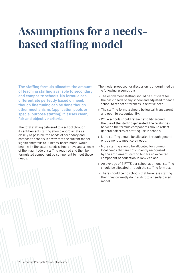## **Assumptions for a needsbased staffing model**

**The staffing formula allocates the amount of teaching staffing available to secondary and composite schools. No formula can differentiate perfectly based on need, though fine tuning can be done though other mechanisms (application pools or special purpose staffing) if it uses clear, fair and objective criteria.**

The total staffing delivered to a school through its entitlement staffing should approximate as closely as possible the needs of secondary and composite schools in a way that the current model significantly fails to. A needs-based model would begin with the actual needs schools have and a sense of the magnitude of staffing required and then be formulated component by component to meet those needs.

The model proposed for discussion is underpinned by the following assumptions:

- » The entitlement staffing should be sufficient for the basic needs of any school and adjusted for each school to reflect differences in relative need.
- » The staffing formula should be logical, transparent and open to accountability.
- » While schools should retain flexibility around the use of the staffing generated, the relativities between the formula components should reflect general patterns of staffing use in schools.
- » More staffing should be allocated through general entitlement to meet core needs.
- » More staffing should be allocated for common local needs that are not currently recognised by the entitlement staffing but are an expected component of education in New Zealand.
- » An average of 5 FTTE per school additional staffing should be allocated through the staffing formula.
- » There should be no schools that have less staffing than they currently do in a shift to a needs-based model.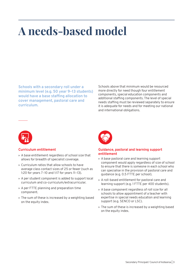## **A needs-based model**

**Schools with a secondary roll under a minimum level (e.g. 50 year 9–13 students) would have a base staffing allocation to cover management, pastoral care and curriculum.**

Schools above that minimum would be resourced more directly for need though four entitlement components, special education components and additional staffing components. The level of special needs staffing must be reviewed separately to ensure it is adequate for needs and for meeting our national and international obligations.



#### **Curriculum entitlement**

- » A base entitlement regardless of school size that allows for breadth of specialist coverage.
- » Curriculum ratios that allow schools to have average class contact sizes of 25 or fewer (such as 1:20 for years 7–10 and 1:17 for years 11–13).
- » A per student component is added to support local curriculum and co-curriculum/extracurricular.
- » A per FTTE planning and preparation time component.
- » The sum of these is increased by a weighting based on the equity index.



#### **Guidance, pastoral and learning support entitlement**

- » A base pastoral care and learning support component would apply regardless of size of school to ensure that there is someone in each school who can specialise in the provision of pastoral care and guidance (e.g. 0.5 FTTE per school).
- » A roll-based entitlement for pastoral care and learning support (e.g. 1 FTTE per 400 students).
- » A base component regardless of roll size for all schools to allow appointment of a teacher with expertise in special needs education and learning support (e.g. SENCO or LSC).
- » The sum of these is increased by a weighting based on the equity index.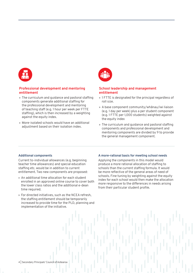

#### **Professional development and mentoring entitlement**

- » The curriculum and guidance and pastoral staffing components generate additional staffing for the professional development and mentoring of teaching staff (e.g. 1 hour per week per FTTE staffing), which is then increased by a weighting against the equity index.
- » More-isolated schools would have an additional adjustment based on their isolation index.



#### **School leadership and management entitlement**

- » 1 FTTE is designated for the principal regardless of roll size.
- » A base component community/whānau/iwi liaison (e.g. 1 day per week) plus a per student component (e.g. 1 FTTE per 1,000 students) weighted against the equity index
- » The curriculum and guidance and pastoral staffing components and professional development and mentoring components are divided by 9 to provide the general management component.

#### **Additional components**

Current to-individual allowances (e.g. beginning teacher time allowances) and special education staffing etc. would be in addition to current entitlement. Two new components are proposed:

- » An additional time allocation for each student enrolled in an approved online course to cover both the lower class ratios and the additional e-dean time required.
- » For directed initiatives, such as the NCEA refresh, the staffing entitlement should be temporarily increased to provide time for the PLD, planning and implementation of the initiative.

#### **A more-rational basis for meeting school needs**

Applying the components in this model would produce a more rational allocation of staffing to schools than the current staffing formula. It would be more reflective of the general areas of need of schools. Fine tuning by weighting against the equity index for each school would then make the allocation more responsive to the differences in needs arising from their particular student profile.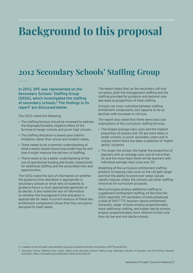## **Background to this proposal**

### **2012 Secondary Schools' Staffing Group**

**In 2012, SPC was represented on the Secondary Schools' Staffing Group (SSSG), which investigated the staffing of secondary schools.<sup>6</sup> The findings in its report7 are discussed below.**

The SSSG noted the following:

- » The staffing formula should be reviewed to address the disproportionately negative effect of the formula on larger schools and junior high schools.
- » The staffing allocation is based upon liability limitation rather than school and student needs.
- » There needs to be a common understanding of what a needs-based resourcing model may be and how it might improve the delivery of staffing.
- » There needs to be a better understanding of the use of operational funding and locally raised funds for additional staffing and the associated risks and opportunities.

The SSSG noted the lack of information on whether the guidance time allocation is appropriate in secondary schools or what ratio of students to guidance hours is most appropriate (generally or by decile). It also noted the lack of information on whether the management time allocation is appropriate for need. A current analysis of these two entitlement components shows that they are poorly designed to meet needs.

The report notes that, as the secondary roll size increases, both the management staffing and the staffing provided for guidance and pastoral care decrease as proportions of total staffing.

Schools can cross-subsidise between staffing entitlement components, but capacity to do so declines with increases in roll size.

The report also noted that there were class size implications of the curriculum staffing formula.

- » The largest average class sizes and the highest proportion of classes over 30 are more likely in larger schools, in junior secondary years and in classes where there has been a selection of 'higher ability' students.
- » The larger the school, the higher the proportion of teachers with an average class size of more than 26 and the more likely there will be teachers with individual average class sizes over 30.

Modelling of the curriculum entitlement staffing predicts increasing class sizes as the roll gets larger and that the ability to avoid over-large classes rapidly reduces unless the schools use other staffing resources for curriculum purposes.

Most principals employ additional staffing to supplement entitlement staffing. At the time the SSSG reported, 319 secondary schools employed a total of 940 FTTE teachers above entitlement. Generally, larger schools employ proportionately more additional staffing, and higher-decile schools employ proportionately more relative to their size than do low and mid-decile schools.

<sup>6.</sup> In addition to the principals' representative, the group included the Ministry of Education, NZPPTA and NZSTA.

<sup>7.</sup> Secondary Schools' Staffing Group. (2012). *Report of the Secondary Schools' Staffing Group*. Wellington: Ministry of Education and Post Primary Teachers' Association. https://www.ppta.org.nz/publication-library/document/32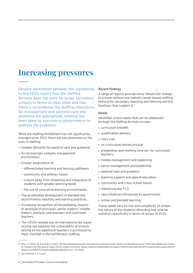### **Increasing pressures**

**Despite agreement between the signatories to the SSSG report that the staffing formula does not work for larger secondary schools in terms of class sizes and that there is no evidence the staffing allocations for management and pastoral care and guidance are appropriate, nothing has been done by successive governments to address the problems.**

While the staffing entitlement has not significantly changed since 2012, there are new pressures on the uses of staffing:

- » Greater demands for pastoral care and guidance.
- » An increasingly complex management environment.
- » Greater expectation of:
	- differentiated learning and learning pathways
	- community and whānau liaison
	- a move away from streaming and integration of students with greater learning needs
	- the use of innovative learning environments.
- » The accelerated development of blended and asynchronous teaching and learning practices.
- » Increasing recognition of the wellbeing impacts of workload of principals, senior leaders,<sup>8</sup> middle leaders, pastoral care teachers and classroom teachers.
- » The COVID-related loss of international fee-payer income has exposed the vulnerability of schools relying on the additional teachers it purchased to mask shortfall in the entitlement staffing.

#### **Recent findings**

A range of reports provide many reasons for change to a more rational and realistic needs-based staffing formula for secondary teaching and learning and the functions that support it.<sup>9</sup>

#### **Needs**

Identified school needs that can be addressed through the staffing formula include:

- » curriculum breadth
- » qualification delivery
- » class size
- » co-curriculum/extracurricular
- » preparation and marking time etc. for curriculum teachers
- » middle management and leadership
- » senior management and leadership
- » pastoral care and guidance
- » learning support and special education
- » community and cross-school liaison
- » mentoring and PLD
- » new initiatives introduced by government
- » online and blended learning.

These needs vary by size and complexity of school, the nature of the students attending and relative isolation (specifically in terms of access to PLD).

<sup>8.</sup> Riley, P., Rahimi, M. & Arnold, B. (2021). The New Zealand Secondary Principal Occupational Health, Safety and Wellbeing Survey: 2020 data. Melbourne: Centre for Research for Educational Impact (REDI), Deakin University. https://www.principalhealth.org/reports/NZ%20Secondary%20Principal%20Occupational%20 Health,%20Safety%20and%20Wellbeing%20Survey--2020.pdf

<sup>9.</sup> See footnotes 1, 3, 4 and 7.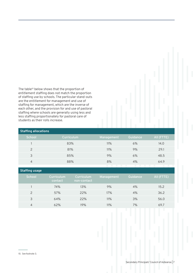The table<sup>10</sup> below shows that the proportion of entitlement staffing does not match the proportion of staffing use by schools. The particular stand-outs are the entitlement for management and use of staffing for management, which are the inverse of each other, and the provision for and use of pastoral staffing where schools are generally using less and less staffing proportionately for pastoral care of students as their rolls increase.

| <b>Staffing allocations</b> |            |            |          |                          |  |  |  |  |
|-----------------------------|------------|------------|----------|--------------------------|--|--|--|--|
| School                      | Curriculum | Management | Guidance | AII (FTTE)               |  |  |  |  |
|                             | 83%        | 11%        | 6%       | 14.0                     |  |  |  |  |
| 2                           | 81%        | 11%        | 9%       | 29.1                     |  |  |  |  |
| 3                           | 85%        | 9%         | 6%       | 48.5                     |  |  |  |  |
| $\overline{4}$              | 88%        | 8%         | 4%       | 64.9                     |  |  |  |  |
|                             |            |            |          | <b>Contract Contract</b> |  |  |  |  |

| Staffing usage |                       |                                      |            |          |            |
|----------------|-----------------------|--------------------------------------|------------|----------|------------|
| School         | Curriculum<br>contact | <b>Curriculum</b><br>  non-contact ' | Management | Guidance | AII (FTTE) |
|                | 74%                   | 13%                                  | 9%         | 4%       | 15.2       |
| $\mathcal{P}$  | 57%                   | 22%                                  | 17%        | 4%       | 36.2       |
| 3              | 64%                   | 22%                                  | 11%        | 3%       | 56.0       |
| 4              | 62%                   | 19%                                  | 11%        | 7%       | 69.7       |

<sup>10.</sup> See footnote 3.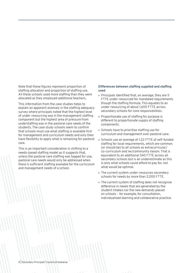Note that these figures represent proportion of staffing allocation and proportion of staffing use. All these schools used more staffing than they were allocated as they employed additional teachers.

This information from the case studies helps to explain an apparent anomaly in the staffing adequacy survey where principals noted that the highest level of under-resourcing was in the management staffing component but the highest area of pressure from understaffing was in the pastoral care needs of the students. The case study schools seem to confirm that schools must use what staffing is available first for management and curriculum needs and only then have flexibility to apply what is remaining for pastoral care.

This is an important consideration in shifting to a needs-based staffing model as it suggests that, unless the pastoral care staffing was tagged for use, pastoral care needs would only be addressed when there is sufficient staffing available for the curriculum and management needs of a school.

#### **Differences between staffing supplied and staffing used**

- » Principals identified that, on average, they are 5 FTTE under-resourced for mandated requirements though the staffing formula. This equates to an under-resourcing of about 1,600 FTTE across secondary schools for core responsibilities.
- » Proportionate use of staffing for purpose is different to proportionate supply of staffing components.
- » Schools have to prioritise staffing use for curriculum and management over pastoral care.
- » Schools use an average of 1.22 FTTE of self-funded staffing for local requirements, which are common (or should be) to all schools as extracurricular/ co-curriculum and iwi/community liaison. That is equivalent to an additional 340 FTTE across all secondary schools but is an underestimate as this is only what schools could afford to pay for, not what would be optimal.
- » The current system under-resources secondary schools for needs by more than 2,000 FTTE.
- » The current system of staffing does not recognise difference in needs that are generated by the student intakes nor the new demands placed on schools – for example, for consultation, individualised learning and collaborative practice.